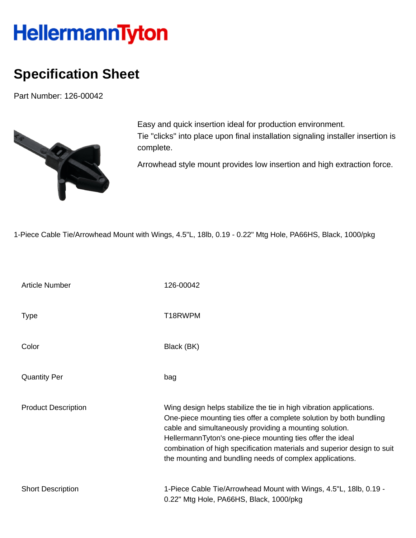## **HellermannTyton**

## **Specification Sheet**

Part Number: 126-00042



Easy and quick insertion ideal for production environment. Tie "clicks" into place upon final installation signaling installer insertion is complete.

Arrowhead style mount provides low insertion and high extraction force.

1-Piece Cable Tie/Arrowhead Mount with Wings, 4.5"L, 18lb, 0.19 - 0.22" Mtg Hole, PA66HS, Black, 1000/pkg

| <b>Article Number</b>      | 126-00042                                                                                                                                                                                                                                                                                                                                                                                                |
|----------------------------|----------------------------------------------------------------------------------------------------------------------------------------------------------------------------------------------------------------------------------------------------------------------------------------------------------------------------------------------------------------------------------------------------------|
| <b>Type</b>                | T18RWPM                                                                                                                                                                                                                                                                                                                                                                                                  |
| Color                      | Black (BK)                                                                                                                                                                                                                                                                                                                                                                                               |
| <b>Quantity Per</b>        | bag                                                                                                                                                                                                                                                                                                                                                                                                      |
| <b>Product Description</b> | Wing design helps stabilize the tie in high vibration applications.<br>One-piece mounting ties offer a complete solution by both bundling<br>cable and simultaneously providing a mounting solution.<br>HellermannTyton's one-piece mounting ties offer the ideal<br>combination of high specification materials and superior design to suit<br>the mounting and bundling needs of complex applications. |
| <b>Short Description</b>   | 1-Piece Cable Tie/Arrowhead Mount with Wings, 4.5"L, 18lb, 0.19 -<br>0.22" Mtg Hole, PA66HS, Black, 1000/pkg                                                                                                                                                                                                                                                                                             |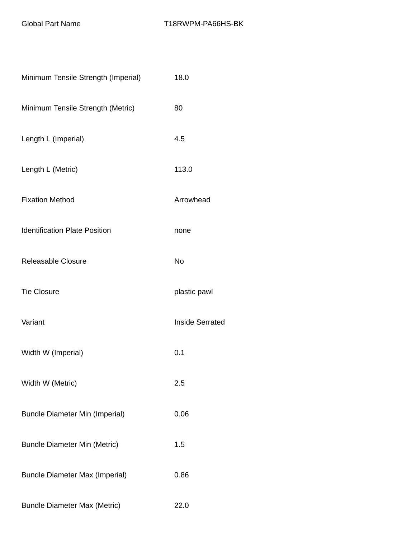| Minimum Tensile Strength (Imperial)   | 18.0                   |
|---------------------------------------|------------------------|
| Minimum Tensile Strength (Metric)     | 80                     |
| Length L (Imperial)                   | 4.5                    |
| Length L (Metric)                     | 113.0                  |
| <b>Fixation Method</b>                | Arrowhead              |
| <b>Identification Plate Position</b>  | none                   |
| <b>Releasable Closure</b>             | No                     |
| <b>Tie Closure</b>                    | plastic pawl           |
| Variant                               | <b>Inside Serrated</b> |
| Width W (Imperial)                    | 0.1                    |
| Width W (Metric)                      | 2.5                    |
| <b>Bundle Diameter Min (Imperial)</b> | 0.06                   |
| <b>Bundle Diameter Min (Metric)</b>   | 1.5                    |
| <b>Bundle Diameter Max (Imperial)</b> | 0.86                   |
| <b>Bundle Diameter Max (Metric)</b>   | 22.0                   |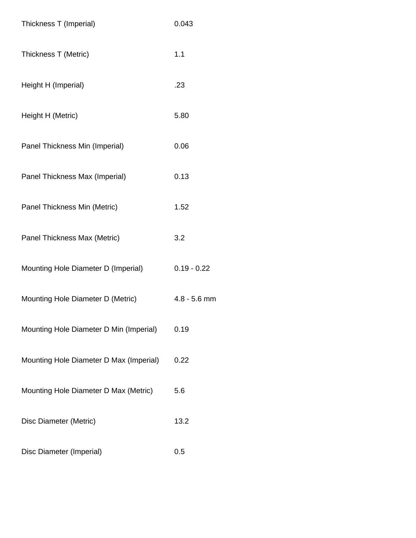| Thickness T (Imperial)                  | 0.043          |
|-----------------------------------------|----------------|
| Thickness T (Metric)                    | 1.1            |
| Height H (Imperial)                     | .23            |
| Height H (Metric)                       | 5.80           |
| Panel Thickness Min (Imperial)          | 0.06           |
| Panel Thickness Max (Imperial)          | 0.13           |
| Panel Thickness Min (Metric)            | 1.52           |
| Panel Thickness Max (Metric)            | 3.2            |
| Mounting Hole Diameter D (Imperial)     | $0.19 - 0.22$  |
| Mounting Hole Diameter D (Metric)       | $4.8 - 5.6$ mm |
| Mounting Hole Diameter D Min (Imperial) | 0.19           |
| Mounting Hole Diameter D Max (Imperial) | 0.22           |
| Mounting Hole Diameter D Max (Metric)   | 5.6            |
| Disc Diameter (Metric)                  | 13.2           |
| Disc Diameter (Imperial)                | 0.5            |